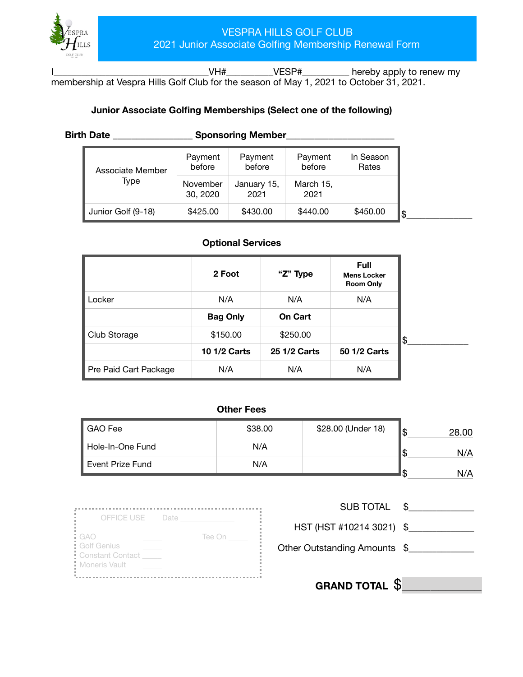

I\_\_\_\_\_\_\_\_\_\_\_\_\_\_\_\_\_\_\_\_\_\_\_\_\_\_\_\_\_\_\_\_\_VH#\_\_\_\_\_\_\_\_\_\_VESP#\_\_\_\_\_\_\_\_\_\_ hereby apply to renew my membership at Vespra Hills Golf Club for the season of May 1, 2021 to October 31, 2021.

### **Junior Associate Golfing Memberships (Select one of the following)**

| Birth Date |  |
|------------|--|
|------------|--|

**Birth Date \_\_\_\_\_\_\_\_\_\_\_\_\_\_\_\_\_\_\_ Sponsoring Member\_\_\_\_\_\_\_\_\_\_\_\_\_\_\_\_\_\_\_\_\_\_\_\_\_\_\_\_\_\_\_** 

| Associate Member   | Payment<br>before    | Payment<br>before   | Payment<br>before | In Season<br>Rates |
|--------------------|----------------------|---------------------|-------------------|--------------------|
| Type               | November<br>30, 2020 | January 15,<br>2021 | March 15,<br>2021 |                    |
| Junior Golf (9-18) | \$425.00             | \$430.00            | \$440.00          | \$450.00           |

### **Optional Services**

|                       | 2 Foot              | "Z" Type     | <b>Full</b><br><b>Mens Locker</b><br><b>Room Only</b> |
|-----------------------|---------------------|--------------|-------------------------------------------------------|
| Locker                | N/A                 | N/A          | N/A                                                   |
|                       | <b>Bag Only</b>     | On Cart      |                                                       |
| Club Storage          | \$150.00            | \$250.00     |                                                       |
|                       | <b>10 1/2 Carts</b> | 25 1/2 Carts | 50 1/2 Carts                                          |
| Pre Paid Cart Package | N/A                 | N/A          | N/A                                                   |

### **Other Fees**

| \$38.00 | \$28.00 (Under 18) | 28 NN |
|---------|--------------------|-------|
| N/A     |                    | N/A   |
| N/A     |                    | N/A   |
|         |                    |       |

| OFFICE USE Date  |        |
|------------------|--------|
| : GAO            | Tee On |
| Golf Genius      |        |
| Constant Contact |        |
| Moneris Vault    |        |

| <b>SUB TOTAL</b> |  |
|------------------|--|
|------------------|--|

HST (HST #10214 3021) \$\_\_\_\_\_\_\_\_\_\_\_\_\_\_

Other Outstanding Amounts \$

**GRAND TOTAL** \$\_\_\_\_\_\_\_\_\_\_\_